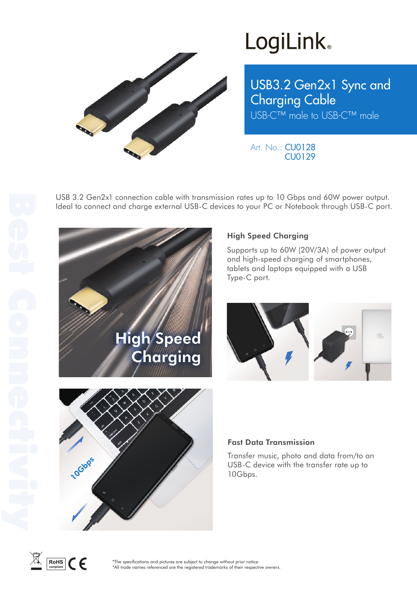

## **LogiLink**

USB3.2 Gen2x1 Sync and Charging Cable USB-C™ male to USB-C™ male

Art. No.: CU0128 CU0129

USB 3.2 Gen2x1 connection cable with transmission rates up to 10 Gbps and 60W power output. Ideal to connect and charge external USB-C devices to your PC or Notebook through USB-C port.



### High Speed Charging

Supports up to 60W (20V/3A) of power output and high-speed charging of smartphones, tablets and laptops equipped with a USB Type-C port.





Transfer music, photo and data from/to an USB-C device with the transfer rate up to



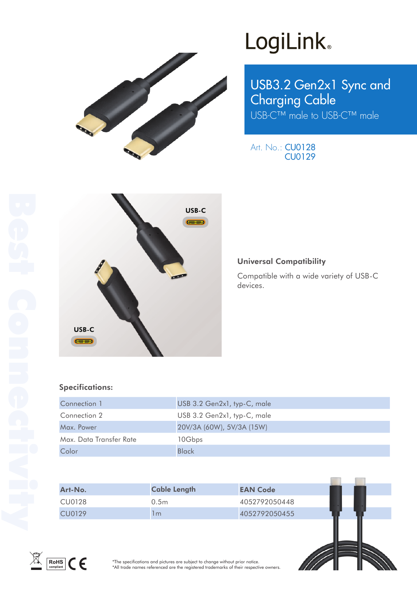

# LogiLink<sup>®</sup>

USB3.2 Gen2x1 Sync and Charging Cable USB-C™ male to USB-C™ male

Art. No.: CU0128 CU0129



#### Universal Compatibility

Compatible with a wide variety of USB-C devices.

#### Specifications:

| Connection 1            | USB 3.2 Gen2x1, typ-C, male |
|-------------------------|-----------------------------|
| Connection 2            | USB 3.2 Gen2x1, typ-C, male |
| Max. Power              | 20V/3A (60W), 5V/3A (15W)   |
| Max. Data Transfer Rate | 10Gbps                      |
| Color                   | Black                       |

| Art-No. | <b>Cable Length</b> | <b>EAN Code</b> |
|---------|---------------------|-----------------|
| CU0128  | 0.5m                | 4052792050448   |
| CU0129  | m                   | 4052792050455   |



\*The specifications and pictures are subject to change without prior notice. \*All trade names referenced are the registered trademarks of their respective owners.